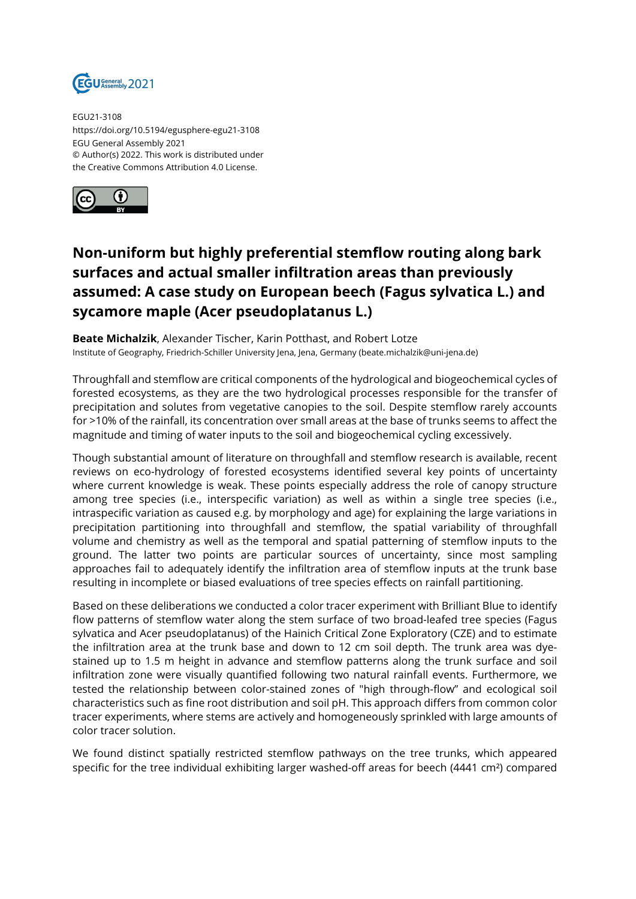

EGU21-3108 https://doi.org/10.5194/egusphere-egu21-3108 EGU General Assembly 2021 © Author(s) 2022. This work is distributed under the Creative Commons Attribution 4.0 License.



## **Non-uniform but highly preferential stemflow routing along bark surfaces and actual smaller infiltration areas than previously assumed: A case study on European beech (Fagus sylvatica L.) and sycamore maple (Acer pseudoplatanus L.)**

**Beate Michalzik**, Alexander Tischer, Karin Potthast, and Robert Lotze Institute of Geography, Friedrich-Schiller University Jena, Jena, Germany (beate.michalzik@uni-jena.de)

Throughfall and stemflow are critical components of the hydrological and biogeochemical cycles of forested ecosystems, as they are the two hydrological processes responsible for the transfer of precipitation and solutes from vegetative canopies to the soil. Despite stemflow rarely accounts for >10% of the rainfall, its concentration over small areas at the base of trunks seems to affect the magnitude and timing of water inputs to the soil and biogeochemical cycling excessively.

Though substantial amount of literature on throughfall and stemflow research is available, recent reviews on eco-hydrology of forested ecosystems identified several key points of uncertainty where current knowledge is weak. These points especially address the role of canopy structure among tree species (i.e., interspecific variation) as well as within a single tree species (i.e., intraspecific variation as caused e.g. by morphology and age) for explaining the large variations in precipitation partitioning into throughfall and stemflow, the spatial variability of throughfall volume and chemistry as well as the temporal and spatial patterning of stemflow inputs to the ground. The latter two points are particular sources of uncertainty, since most sampling approaches fail to adequately identify the infiltration area of stemflow inputs at the trunk base resulting in incomplete or biased evaluations of tree species effects on rainfall partitioning.

Based on these deliberations we conducted a color tracer experiment with Brilliant Blue to identify flow patterns of stemflow water along the stem surface of two broad-leafed tree species (Fagus sylvatica and Acer pseudoplatanus) of the Hainich Critical Zone Exploratory (CZE) and to estimate the infiltration area at the trunk base and down to 12 cm soil depth. The trunk area was dyestained up to 1.5 m height in advance and stemflow patterns along the trunk surface and soil infiltration zone were visually quantified following two natural rainfall events. Furthermore, we tested the relationship between color-stained zones of "high through-flow" and ecological soil characteristics such as fine root distribution and soil pH. This approach differs from common color tracer experiments, where stems are actively and homogeneously sprinkled with large amounts of color tracer solution.

We found distinct spatially restricted stemflow pathways on the tree trunks, which appeared specific for the tree individual exhibiting larger washed-off areas for beech (4441 cm²) compared